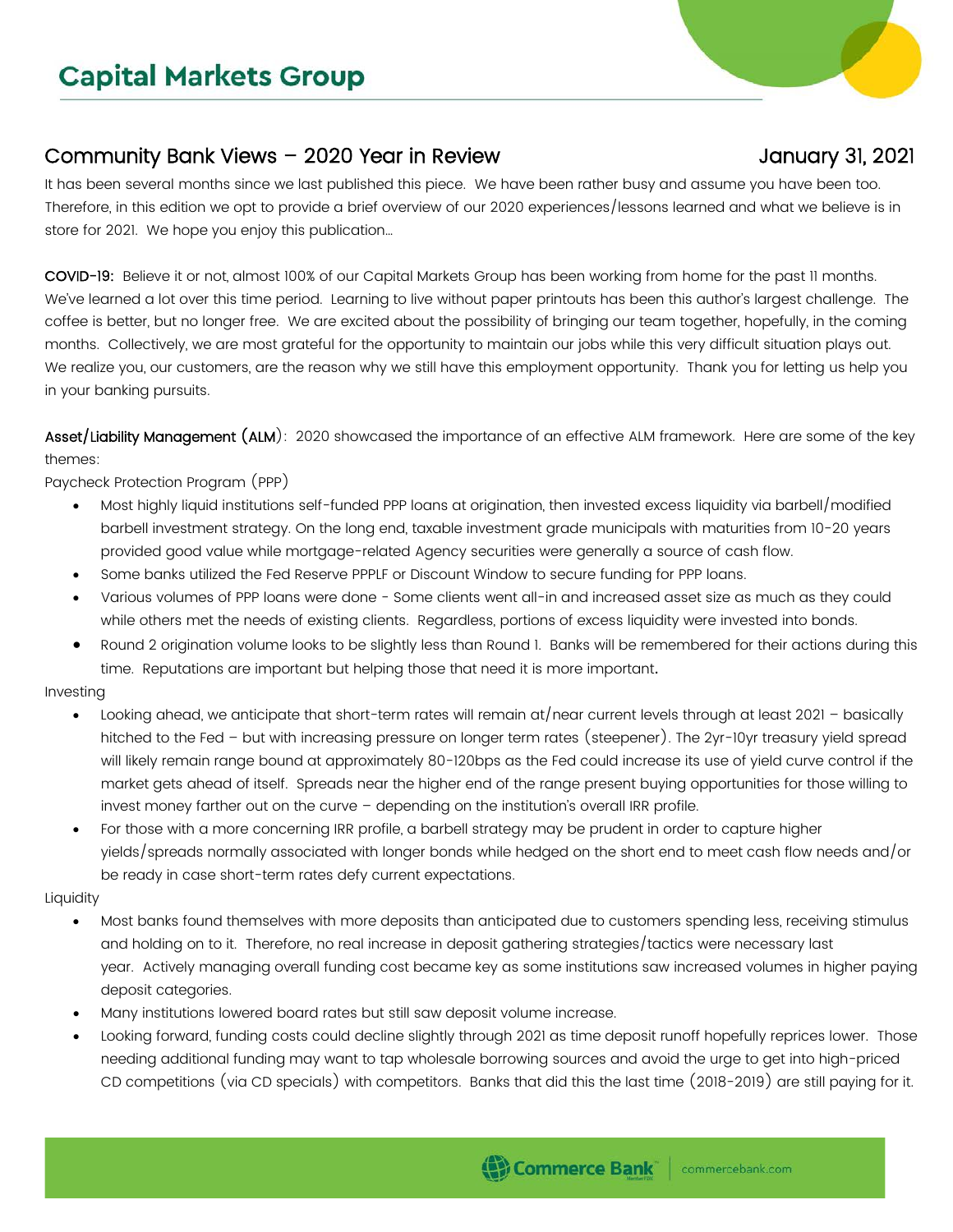## **Capital Markets Group**

## Community Bank Views – 2020 Year in Review January 31, 2021

It has been several months since we last published this piece. We have been rather busy and assume you have been too. Therefore, in this edition we opt to provide a brief overview of our 2020 experiences/lessons learned and what we believe is in store for 2021. We hope you enjoy this publication…

COVID-19: Believe it or not, almost 100% of our Capital Markets Group has been working from home for the past 11 months. We've learned a lot over this time period. Learning to live without paper printouts has been this author's largest challenge. The coffee is better, but no longer free. We are excited about the possibility of bringing our team together, hopefully, in the coming months. Collectively, we are most grateful for the opportunity to maintain our jobs while this very difficult situation plays out. We realize you, our customers, are the reason why we still have this employment opportunity. Thank you for letting us help you in your banking pursuits.

Asset/Liability Management (ALM): 2020 showcased the importance of an effective ALM framework. Here are some of the key themes:

Paycheck Protection Program (PPP)

- Most highly liquid institutions self-funded PPP loans at origination, then invested excess liquidity via barbell/modified barbell investment strategy. On the long end, taxable investment grade municipals with maturities from 10-20 years provided good value while mortgage-related Agency securities were generally a source of cash flow.
- Some banks utilized the Fed Reserve PPPLF or Discount Window to secure funding for PPP loans.
- Various volumes of PPP loans were done Some clients went all-in and increased asset size as much as they could while others met the needs of existing clients. Regardless, portions of excess liquidity were invested into bonds.
- Round 2 origination volume looks to be slightly less than Round 1. Banks will be remembered for their actions during this time. Reputations are important but helping those that need it is more important.

Investing

- Looking ahead, we anticipate that short-term rates will remain at/near current levels through at least 2021 basically hitched to the Fed – but with increasing pressure on longer term rates (steepener). The 2yr-10yr treasury yield spread will likely remain range bound at approximately 80-120bps as the Fed could increase its use of yield curve control if the market gets ahead of itself. Spreads near the higher end of the range present buying opportunities for those willing to invest money farther out on the curve – depending on the institution's overall IRR profile.
- For those with a more concerning IRR profile, a barbell strategy may be prudent in order to capture higher yields/spreads normally associated with longer bonds while hedged on the short end to meet cash flow needs and/or be ready in case short-term rates defy current expectations.

## Liquidity

- Most banks found themselves with more deposits than anticipated due to customers spending less, receiving stimulus and holding on to it. Therefore, no real increase in deposit gathering strategies/tactics were necessary last year. Actively managing overall funding cost became key as some institutions saw increased volumes in higher paying deposit categories.
- Many institutions lowered board rates but still saw deposit volume increase.
- Looking forward, funding costs could decline slightly through 2021 as time deposit runoff hopefully reprices lower. Those needing additional funding may want to tap wholesale borrowing sources and avoid the urge to get into high-priced CD competitions (via CD specials) with competitors. Banks that did this the last time (2018-2019) are still paying for it.